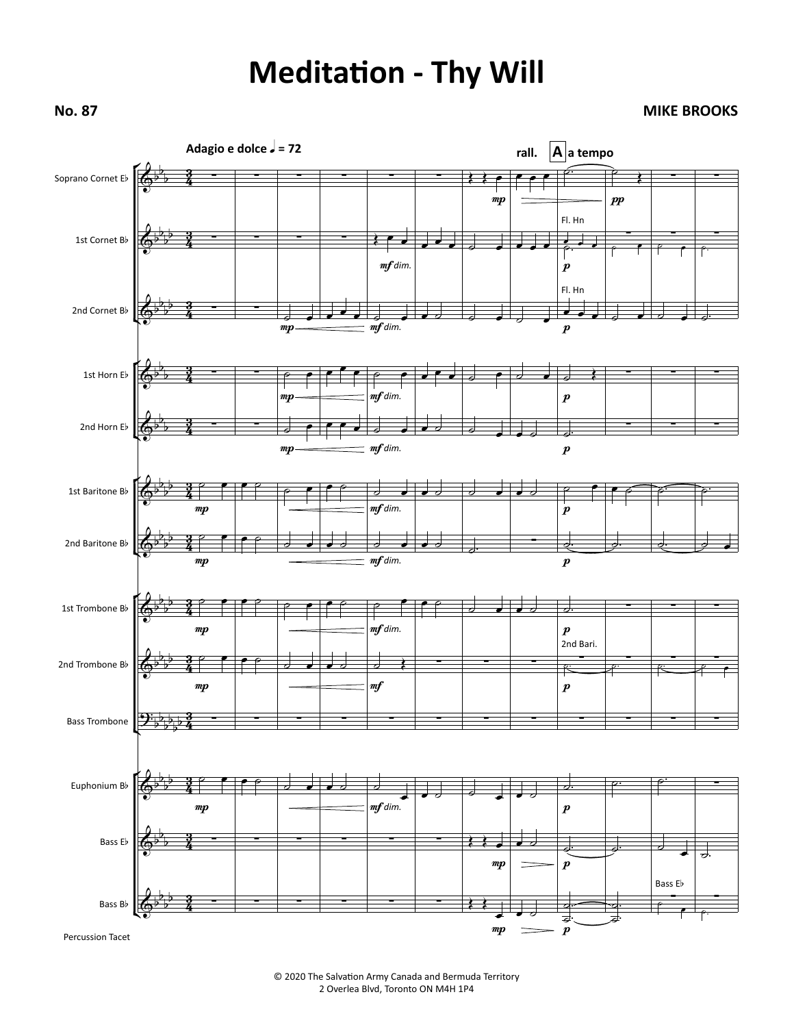## **Meditation - Thy Will**

**No. 87**

**MIKE BROOKS**



© 2020 The Salvation Army Canada and Bermuda Territory 2 Overlea Blvd, Toronto ON M4H 1P4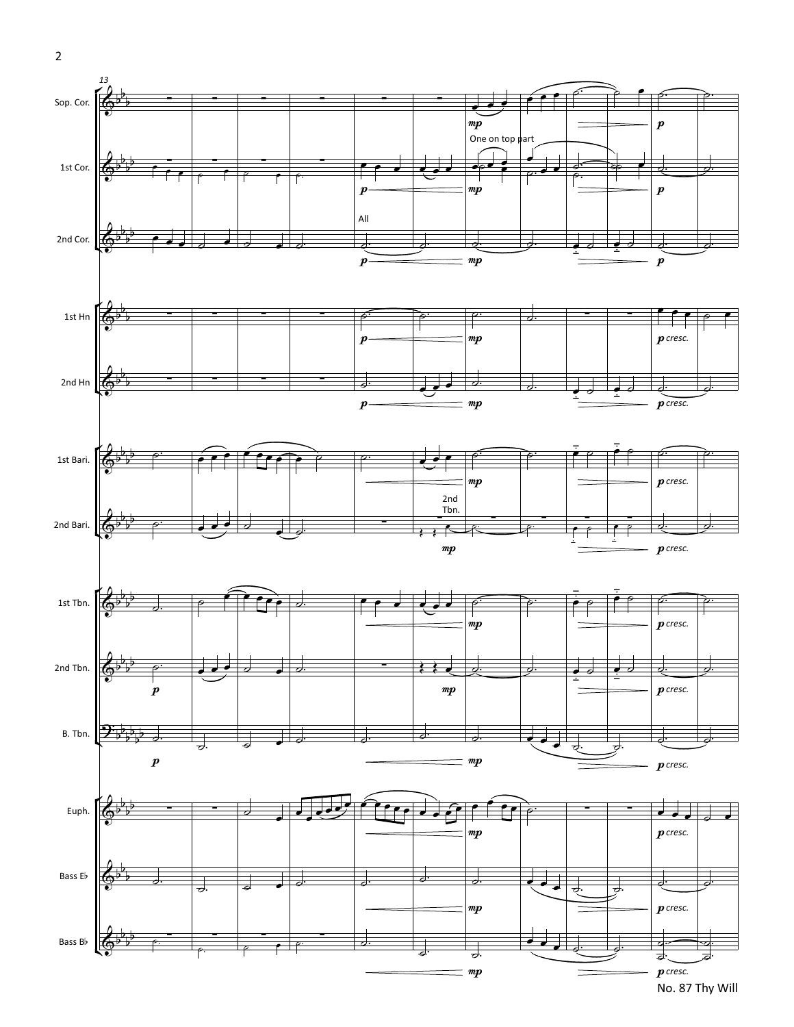

2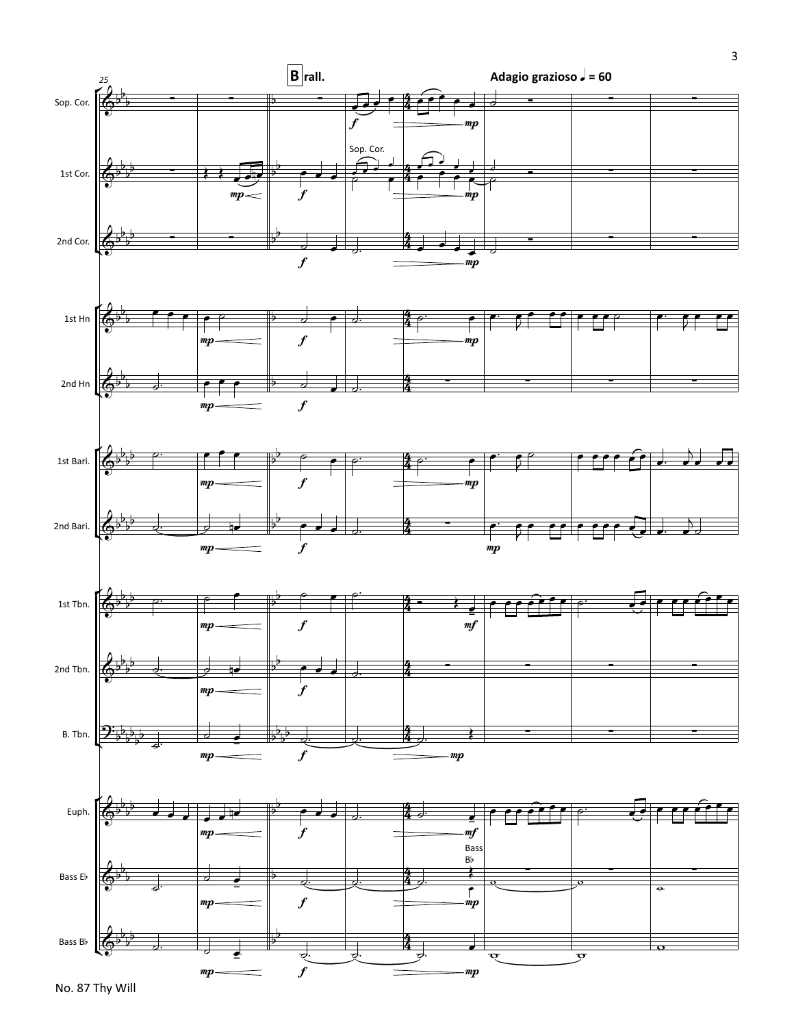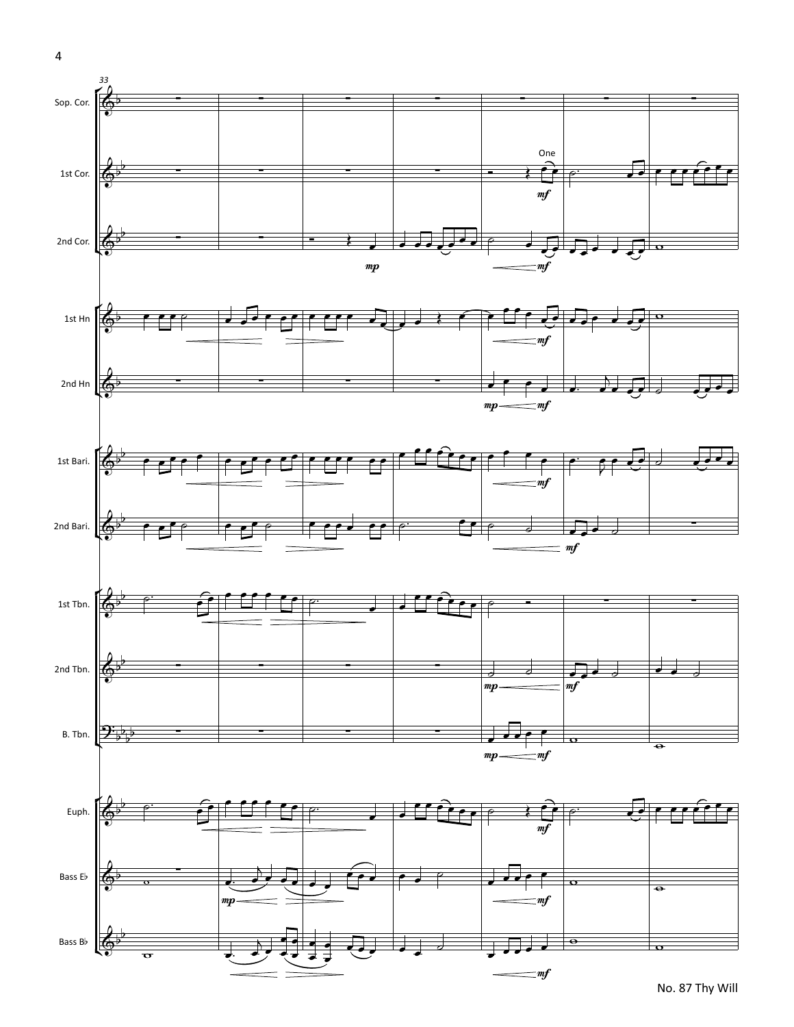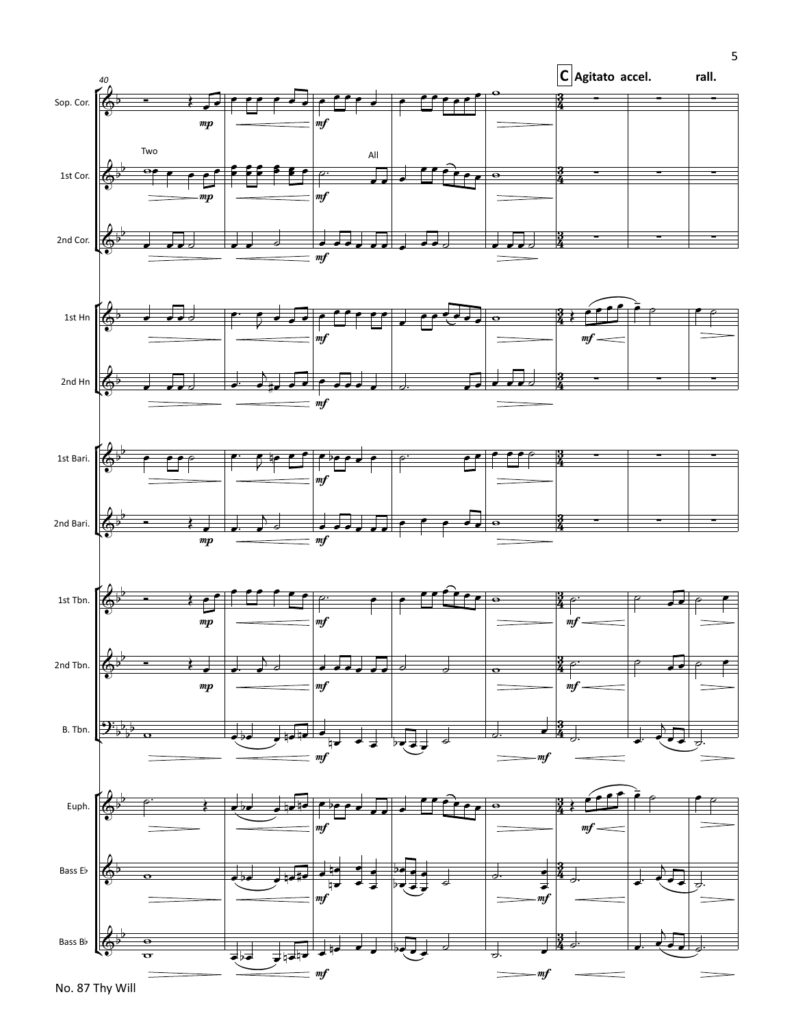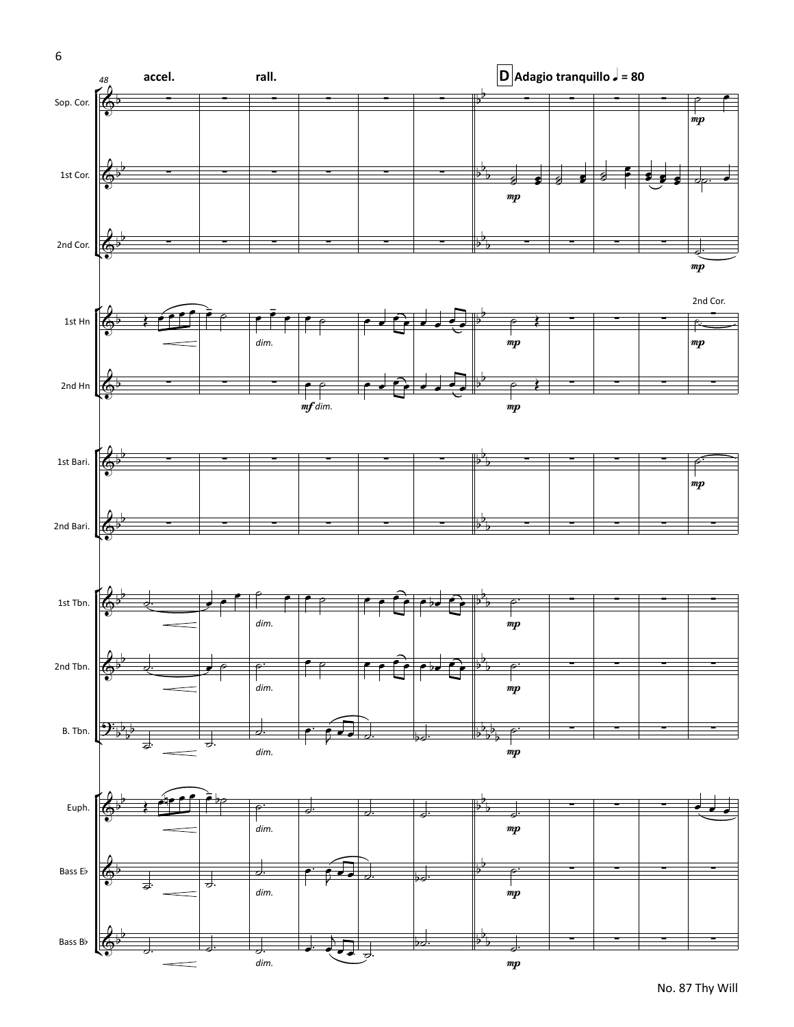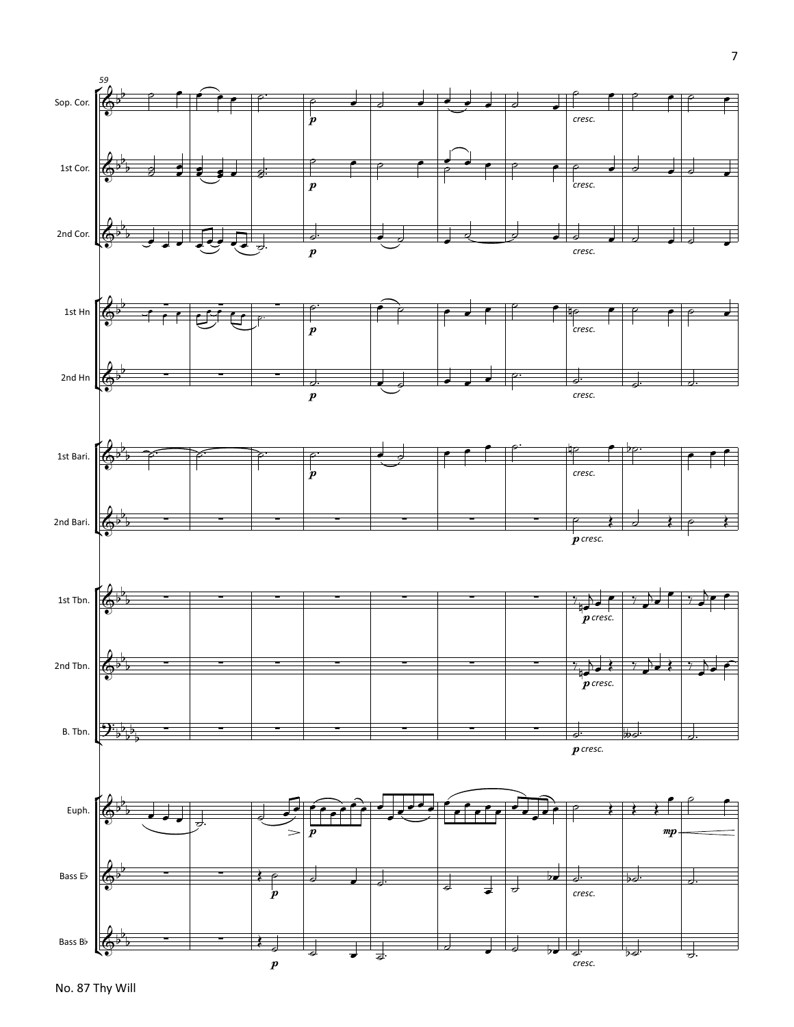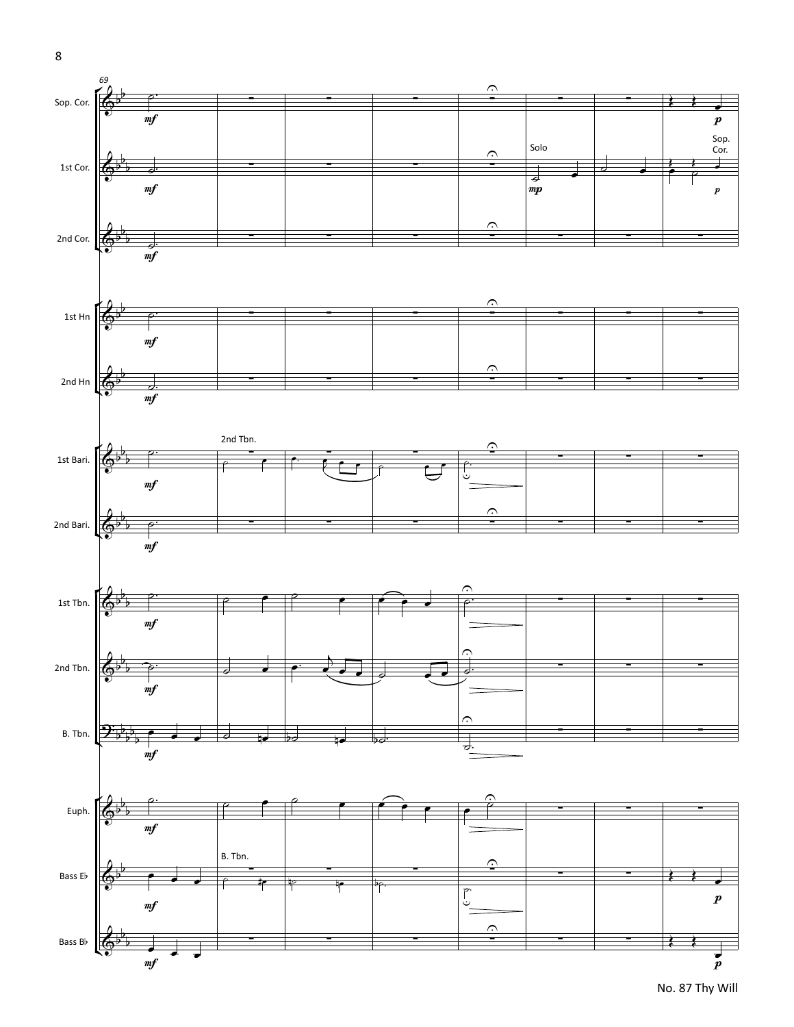